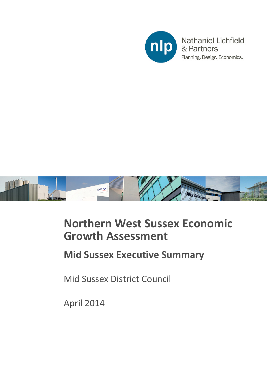



## **Northern West Sussex Economic Growth Assessment**

## **Mid Sussex Executive Summary**

Mid Sussex District Council

April 2014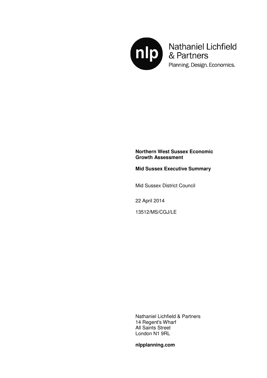

Mathaniel Lichfield<br>& Partners Planning. Design. Economics.

## **Northern West Sussex Economic Growth Assessment**

**Mid Sussex Executive Summary** 

Mid Sussex District Council

22 April 2014

13512/MS/CGJ/LE

Nathaniel Lichfield & Partners 14 Regent's Wharf All Saints Street London N1 9RL

**nlpplanning.com**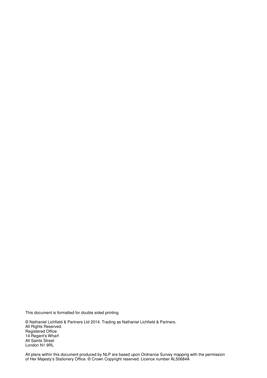This document is formatted for double sided printing.

© Nathaniel Lichfield & Partners Ltd 2014. Trading as Nathaniel Lichfield & Partners. All Rights Reserved. Registered Office: 14 Regent's Wharf All Saints Street London N1 9RL

All plans within this document produced by NLP are based upon Ordnance Survey mapping with the permission of Her Majesty's Stationery Office. © Crown Copyright reserved. Licence number AL50684A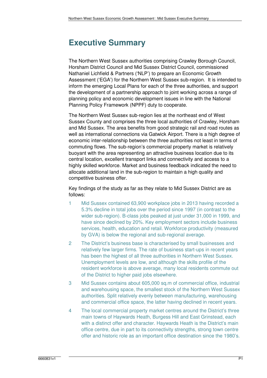## **Executive Summary**

The Northern West Sussex authorities comprising Crawley Borough Council, Horsham District Council and Mid Sussex District Council, commissioned Nathaniel Lichfield & Partners ('NLP') to prepare an Economic Growth Assessment ('EGA') for the Northern West Sussex sub-region. It is intended to inform the emerging Local Plans for each of the three authorities, and support the development of a partnership approach to joint working across a range of planning policy and economic development issues in line with the National Planning Policy Framework (NPPF) duty to cooperate.

The Northern West Sussex sub-region lies at the northeast end of West Sussex County and comprises the three local authorities of Crawley, Horsham and Mid Sussex. The area benefits from good strategic rail and road routes as well as international connections via Gatwick Airport. There is a high degree of economic inter-relationship between the three authorities not least in terms of commuting flows. The sub-region's commercial property market is relatively buoyant with the area representing an attractive business location due to its central location, excellent transport links and connectivity and access to a highly skilled workforce. Market and business feedback indicated the need to allocate additional land in the sub-region to maintain a high quality and competitive business offer.

Key findings of the study as far as they relate to Mid Sussex District are as follows:

- 1 Mid Sussex contained 63,900 workplace jobs in 2013 having recorded a 5.3% decline in total jobs over the period since 1997 (in contrast to the wider sub-region). B-class jobs peaked at just under 31,000 in 1999, and have since declined by 20%. Key employment sectors include business services, health, education and retail. Workforce productivity (measured by GVA) is below the regional and sub-regional average.
- 2 The District's business base is characterised by small businesses and relatively few larger firms. The rate of business start-ups in recent years has been the highest of all three authorities in Northern West Sussex. Unemployment levels are low, and although the skills profile of the resident workforce is above average, many local residents commute out of the District to higher paid jobs elsewhere.
- 3 Mid Sussex contains about 605,000 sq.m of commercial office, industrial and warehousing space, the smallest stock of the Northern West Sussex authorities. Split relatively evenly between manufacturing, warehousing and commercial office space, the latter having declined in recent years.
- 4 The local commercial property market centres around the District's three main towns of Haywards Heath, Burgess Hill and East Grinstead, each with a distinct offer and character. Haywards Heath is the District's main office centre, due in part to its connectivity strengths, strong town centre offer and historic role as an important office destination since the 1980's.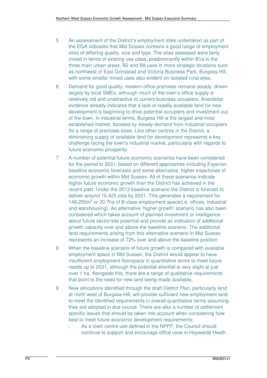- 5 An assessment of the District's employment sites undertaken as part of the EGA indicates that Mid Sussex contains a good range of employment sites of differing quality, size and type. The sites assessed were fairly mixed in terms of existing use class, predominantly within B1a in the three main urban areas, B2 and B8 uses in more strategic locations such as northwest of East Grinstead and Victoria Business Park, Burgess Hill, with some smaller mixed uses also evident on isolated rural sites.
- 6 Demand for good quality, modern office premises remains steady, driven largely by local SMEs, although much of the town's office supply is relatively old and unattractive to current business occupiers. Anecdotal evidence already indicates that a lack of readily available land for new development is beginning to drive potential occupiers and investment out of the town. In industrial terms, Burgess Hill is the largest and most established market, boosted by steady demand from industrial occupiers for a range of premises sizes. Like other centres in the District, a diminishing supply of available land for development represents a key challenge facing the town's industrial market, particularly with regards to future economic prosperity.
- 7 A number of potential future economic scenarios have been considered for the period to 2031, based on different approaches including Experian baseline economic forecasts and some alternative, higher trajectories of economic growth within Mid Sussex. All of these scenarios indicate higher future economic growth than the District has achieved in the recent past. Under the 2013 baseline scenario the District is forecast to deliver around 10,425 jobs by 2031. This generates a requirement for 148,250m<sup>2</sup> or 30.7ha of B class employment space(i.e. offices, industrial and warehousing). An alternative 'higher growth' scenario has also been considered which takes account of planned investment or intelligence about future sector/site potential and provide an indication of additional growth capacity over and above the baseline scenario. The additional land requirements arising from this alternative scenario in Mid Sussex represents an increase of 72% over and above the baseline position.
- 8 When the baseline scenario of future growth is compared with available employment space in Mid Sussex, the District would appear to have insufficient employment floorspace in quantitative terms to meet future needs up to 2031, although the potential shortfall is very slight at just over 1 ha. Alongside this, there are a range of qualitative requirements that point to the need for new land being made available.
- 9 New allocations identified through the draft District Plan, particularly land at north west of Burgess Hill, will provide sufficient new employment land to meet the identified requirements in overall quantitative terms assuming they are adopted in due course. There are also a number of settlement specific issues that should be taken into account when considering how best to meet future economic development requirements:
	- i As a town centre use defined in the NPPF, the Council should continue to support and encourage office uses in Haywards Heath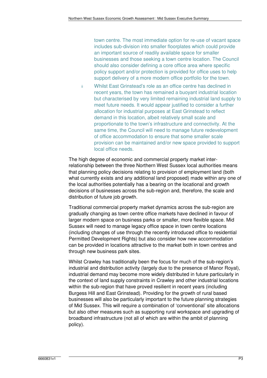town centre. The most immediate option for re-use of vacant space includes sub-division into smaller floorplates which could provide an important source of readily available space for smaller businesses and those seeking a town centre location. The Council should also consider defining a core office area where specific policy support and/or protection is provided for office uses to help support delivery of a more modern office portfolio for the town.

ii Whilst East Grinstead's role as an office centre has declined in recent years, the town has remained a buoyant industrial location but characterised by very limited remaining industrial land supply to meet future needs. It would appear justified to consider a further allocation for industrial purposes at East Grinstead to reflect demand in this location, albeit relatively small scale and proportionate to the town's infrastructure and connectivity. At the same time, the Council will need to manage future redevelopment of office accommodation to ensure that some smaller scale provision can be maintained and/or new space provided to support local office needs.

The high degree of economic and commercial property market interrelationship between the three Northern West Sussex local authorities means that planning policy decisions relating to provision of employment land (both what currently exists and any additional land proposed) made within any one of the local authorities potentially has a bearing on the locational and growth decisions of businesses across the sub-region and, therefore, the scale and distribution of future job growth.

Traditional commercial property market dynamics across the sub-region are gradually changing as town centre office markets have declined in favour of larger modern space on business parks or smaller, more flexible space. Mid Sussex will need to manage legacy office space in town centre locations (including changes of use through the recently introduced office to residential Permitted Development Rights) but also consider how new accommodation can be provided in locations attractive to the market both in town centres and through new business park sites.

Whilst Crawley has traditionally been the focus for much of the sub-region's industrial and distribution activity (largely due to the presence of Manor Royal), industrial demand may become more widely distributed in future particularly in the context of land supply constraints in Crawley and other industrial locations within the sub-region that have proved resilient in recent years (including Burgess Hill and East Grinstead). Providing for the growth of rural based businesses will also be particularly important to the future planning strategies of Mid Sussex. This will require a combination of 'conventional' site allocations but also other measures such as supporting rural workspace and upgrading of broadband infrastructure (not all of which are within the ambit of planning policy).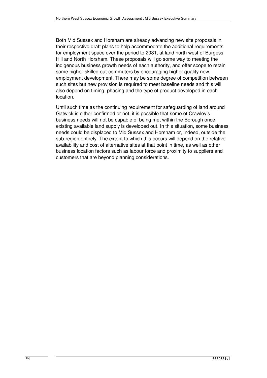Both Mid Sussex and Horsham are already advancing new site proposals in their respective draft plans to help accommodate the additional requirements for employment space over the period to 2031, at land north west of Burgess Hill and North Horsham. These proposals will go some way to meeting the indigenous business growth needs of each authority, and offer scope to retain some higher-skilled out-commuters by encouraging higher quality new employment development. There may be some degree of competition between such sites but new provision is required to meet baseline needs and this will also depend on timing, phasing and the type of product developed in each location.

Until such time as the continuing requirement for safeguarding of land around Gatwick is either confirmed or not, it is possible that some of Crawley's business needs will not be capable of being met within the Borough once existing available land supply is developed out. In this situation, some business needs could be displaced to Mid Sussex and Horsham or, indeed, outside the sub-region entirely. The extent to which this occurs will depend on the relative availability and cost of alternative sites at that point in time, as well as other business location factors such as labour force and proximity to suppliers and customers that are beyond planning considerations.